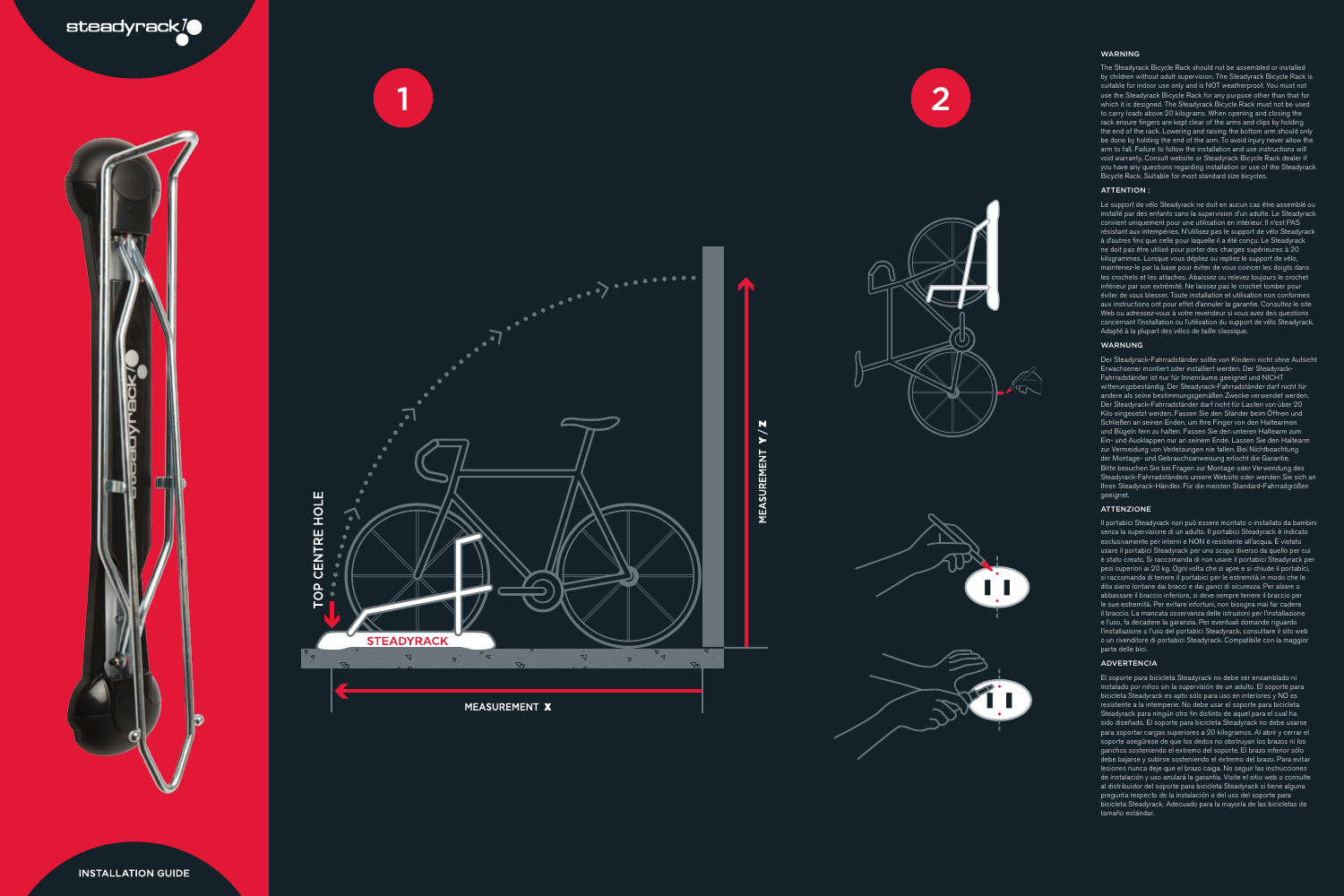

**INSTALLATION GUIDE** 













### WARNING

The Steadyrack Bicycle Rack should not be assembled or installed by children without adult supervision. The Steadyrack Bicycle Rack is suitable for indoor use only and is NOT weatherproof. You must not use the Steadyrack Bicycle Rack for any purpose other than that for which it is designed. The Steadyrack Bicycle Rack must not be used to carry loads above 20 kilograms. When opening and closing the rack ensure fingers are kept clear of the arms and clips by holding the end of the rack. Lowering and raising the bottom arm should only be done by holding the end of the arm. To avoid injury never allow the arm to fall. Failure to follow the installation and use instructions will void warranty. Consult website or Steadyrack Bicycle Rack dealer if you have any questions regarding installation or use of the Steadyrack Bicycle Rack. Suitable for most standard size bicycles.

## ATTENTION :

Le support de vélo Steadyrack ne doit en aucun cas être assemblé ou installé par des enfants sans la supervision d'un adulte. Le Steadyrack convient uniquement pour une utilisation en intérieur. Il n'est PAS résistant aux intempéries. N'utilisez pas le support de vélo Steadyrack à d'autres fins que celle pour laquelle il a été conçu. Le Steadyrack ne doit pas être utilisé pour porter des charges supérieures à 20 kilogrammes. Lorsque vous dépliez ou repliez le support de vélo, maintenez-le par la base pour éviter de vous coincer les doigts dans les crochets et les attaches. Abaissez ou relevez toujours le crochet inférieur par son extrémité. Ne laissez pas le crochet tomber pour éviter de vous blesser. Toute installation et utilisation non conformes aux instructions ont pour effet d'annuler la garantie. Consultez le site Web ou adressez-vous à votre revendeur si vous avez des questions concernant l'installation ou l'utilisation du support de vélo Steadyrack. Adapté à la plupart des vélos de taille classique.

### WARNUNG

Der Steadyrack-Fahrradständer sollte von Kindern nicht ohne Aufsicht Erwachsener montiert oder installiert werden. Der Steadyrack-Fahrradständer ist nur für Innenräume geeignet und NICHT witterungsbeständig. Der Steadyrack-Fahrradständer darf nicht für andere als seine bestimmungsgemäßen Zwecke verwendet werden. Der Steadyrack-Fahrradständer darf nicht für Lasten von über 20 Kilo eingesetzt werden. Fassen Sie den Ständer beim Öffnen und Schließen an seinen Enden, um Ihre Finger von den Haltearmen und B ügeln fern zu halten. Fassen Sie den unteren Haltearm zum Ein- und Ausklappen nur an seinem Ende. Lassen Sie den Haltearm zur Vermeidung von Verletzungen nie fallen. Bei Nichtbeachtung der Montage- und Gebrauchsanweisung erlischt die Garantie. Bitte besuchen Sie bei Fragen zur Montage oder Verwendung des Steadyrack-Fahrradständers unsere Website oder wenden Sie sich an Ihren Steadyrack-Händler. Für die meisten Standard-Fahrradgrößen geeignet.

### ATTENZIONE

Il portabici Steadyrack non può essere montato o installato da bambini senza la supervisione di un adulto. Il portabici Steadyrack è indicato esclusivamente per interni e NON è resistente all'acqua. È vietato usare il portabici Steadyrack per uno scopo diverso da quello per cui è stato creato. Si raccomanda di non usare il portabici Steadyrack per pesi superiori ai 20 kg. Ogni volta che si apre e si chiude il portabici, si raccomanda di tenere il portabici per le estremità in modo che le dita siano lontane dai bracci e dai ganci di sicurezza. Per alzare o abbassare il braccio inferiore, si deve sempre tenere il braccio per le sue estremità. Per evitare infortuni, non bisogna mai far cadere il braccio. La mancata osservanza delle istruzioni per l'installazione e l'uso, fa decadere la garanzia. Per eventuali domande riguardo l'installazione o l'uso del portabici Steadyrack, consultare il sito web o un rivenditore di portabici Steadyrack. Compatibile con la maggior parte delle bici.

#### **ADVERTENCIA**

El soporte para bicicleta Steadyrack no debe ser ensamblado ni instalado por niños sin la supervisión de un adulto. El soporte para bicicleta Steadyrack es apto sólo para uso en interiores y NO es resistente a la intemperie. No debe usar el soporte para bicicleta Steadyrack para ningún otro fin distinto de aquel para el cual ha sido diseñado. El soporte para bicicleta Steadyrack no debe usarse para soportar cargas superiores a 20 kilogramos. Al abrir y cerrar el soporte asegúrese de que los dedos no obstruyan los brazos ni los ganchos sosteniendo el extremo del soporte. El brazo inferior sólo debe bajarse y subirse sosteniendo el extremo del brazo. Para evitar lesiones nunca deje que el brazo caiga. No seguir las instrucciones de instalación y uso anulará la garantía. Visite el sitio web o consulte al distribuidor del soporte para bicicleta Steadyrack si tiene alguna pregunta respecto de la instalación o del uso del soporte para bicicleta Steadyrack. Adecuado para la mayoría de las bicicletas de tamaño estándar.